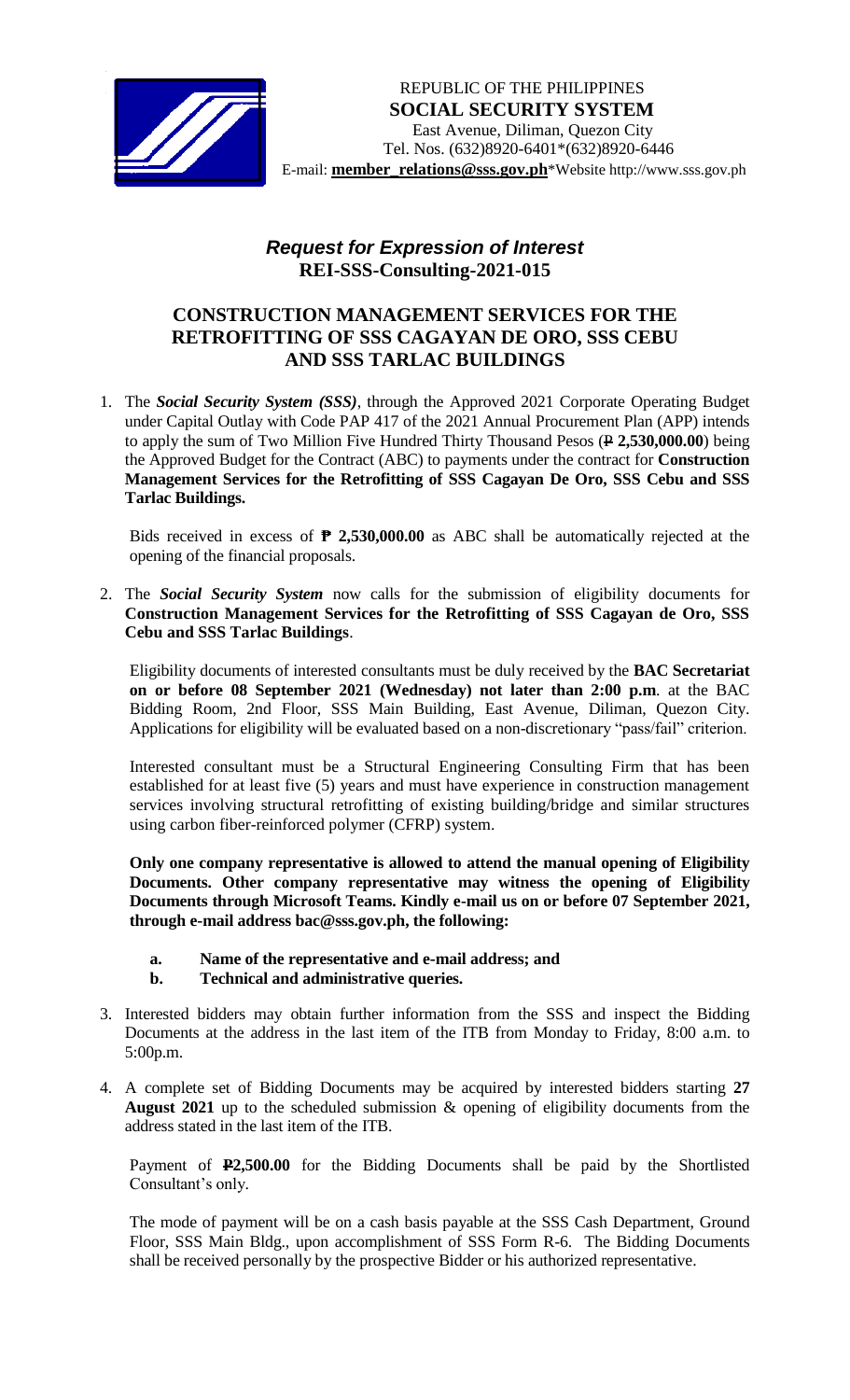

## *Request for Expression of Interest*  **REI-SSS-Consulting-2021-015**

## **CONSTRUCTION MANAGEMENT SERVICES FOR THE RETROFITTING OF SSS CAGAYAN DE ORO, SSS CEBU AND SSS TARLAC BUILDINGS**

1. The *Social Security System (SSS)*, through the Approved 2021 Corporate Operating Budget under Capital Outlay with Code PAP 417 of the 2021 Annual Procurement Plan (APP) intends to apply the sum of Two Million Five Hundred Thirty Thousand Pesos ( $\angle$  2,530,000.00) being the Approved Budget for the Contract (ABC) to payments under the contract for **Construction Management Services for the Retrofitting of SSS Cagayan De Oro, SSS Cebu and SSS Tarlac Buildings.**

Bids received in excess of **₱ 2,530,000.00** as ABC shall be automatically rejected at the opening of the financial proposals.

2. The *Social Security System* now calls for the submission of eligibility documents for **Construction Management Services for the Retrofitting of SSS Cagayan de Oro, SSS Cebu and SSS Tarlac Buildings**.

Eligibility documents of interested consultants must be duly received by the **BAC Secretariat on or before 08 September 2021 (Wednesday) not later than 2:00 p.m**. at the BAC Bidding Room, 2nd Floor, SSS Main Building, East Avenue, Diliman, Quezon City. Applications for eligibility will be evaluated based on a non-discretionary "pass/fail" criterion.

Interested consultant must be a Structural Engineering Consulting Firm that has been established for at least five (5) years and must have experience in construction management services involving structural retrofitting of existing building/bridge and similar structures using carbon fiber-reinforced polymer (CFRP) system.

**Only one company representative is allowed to attend the manual opening of Eligibility Documents. Other company representative may witness the opening of Eligibility Documents through Microsoft Teams. Kindly e-mail us on or before 07 September 2021, through e-mail address bac@sss.gov.ph, the following:**

- **a. Name of the representative and e-mail address; and**
- **b. Technical and administrative queries.**
- 3. Interested bidders may obtain further information from the SSS and inspect the Bidding Documents at the address in the last item of the ITB from Monday to Friday, 8:00 a.m. to 5:00p.m.
- 4. A complete set of Bidding Documents may be acquired by interested bidders starting **27 August 2021** up to the scheduled submission & opening of eligibility documents from the address stated in the last item of the ITB.

Payment of **P2,500.00** for the Bidding Documents shall be paid by the Shortlisted Consultant's only.

The mode of payment will be on a cash basis payable at the SSS Cash Department, Ground Floor, SSS Main Bldg., upon accomplishment of SSS Form R-6. The Bidding Documents shall be received personally by the prospective Bidder or his authorized representative.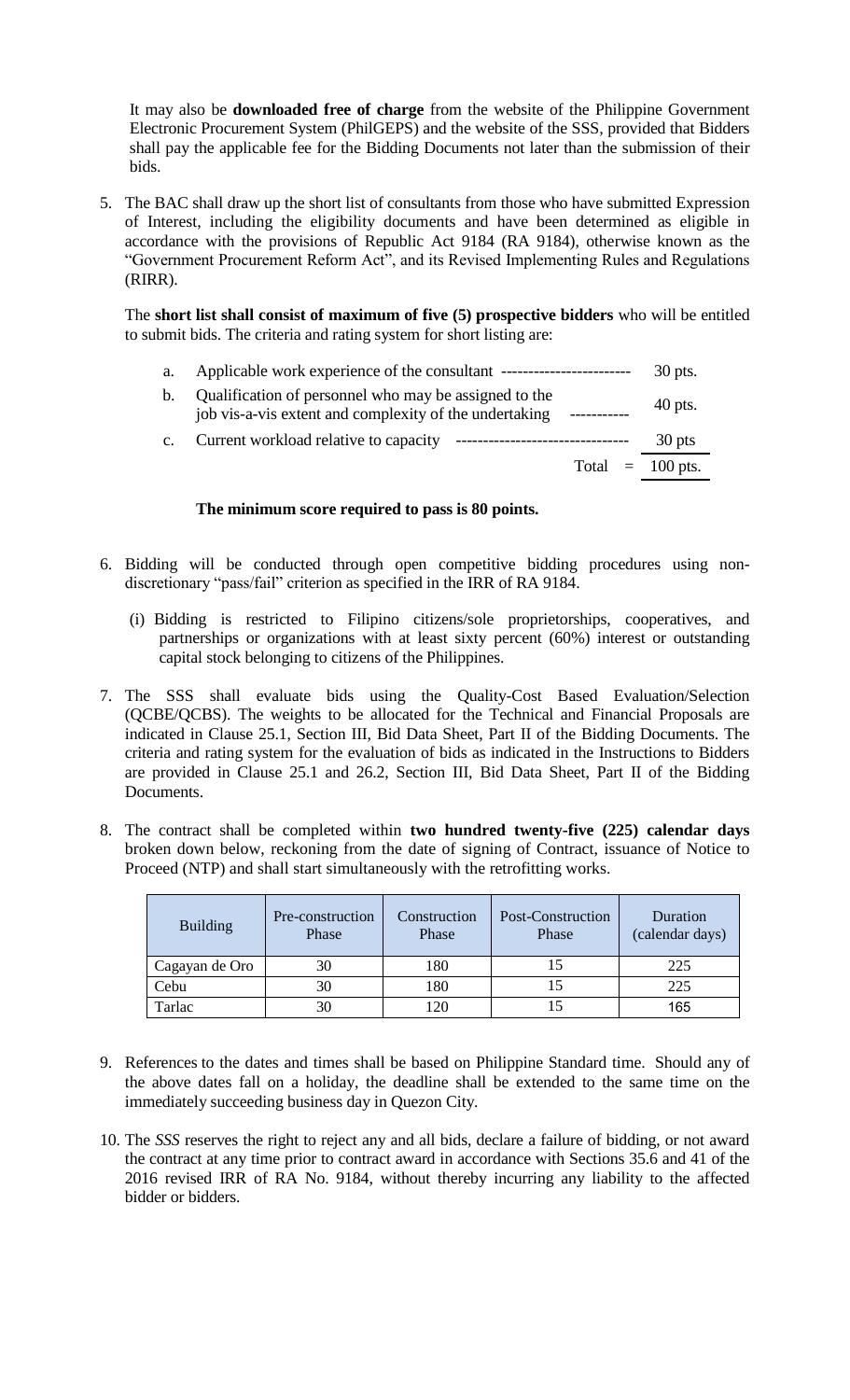It may also be **downloaded free of charge** from the website of the Philippine Government Electronic Procurement System (PhilGEPS) and the website of the SSS*,* provided that Bidders shall pay the applicable fee for the Bidding Documents not later than the submission of their bids.

5. The BAC shall draw up the short list of consultants from those who have submitted Expression of Interest, including the eligibility documents and have been determined as eligible in accordance with the provisions of Republic Act 9184 (RA 9184), otherwise known as the "Government Procurement Reform Act", and its Revised Implementing Rules and Regulations (RIRR).

The **short list shall consist of maximum of five (5) prospective bidders** who will be entitled to submit bids. The criteria and rating system for short listing are:

a. Applicable work experience of the consultant ------------------------- 30 pts.

| b. | Qualification of personnel who may be assigned to the<br>job vis-a-vis extent and complexity of the undertaking | $40$ pts. |
|----|-----------------------------------------------------------------------------------------------------------------|-----------|
|    | Current workload relative to canacity<br>----------------------------------                                     | $30$ nte  |

Current workload relative to capacity ---------------------------------- 30 pts Total  $= 100$  pts.

## **The minimum score required to pass is 80 points.**

- 6. Bidding will be conducted through open competitive bidding procedures using nondiscretionary "pass/fail" criterion as specified in the IRR of RA 9184.
	- (i) Bidding is restricted to Filipino citizens/sole proprietorships, cooperatives, and partnerships or organizations with at least sixty percent (60%) interest or outstanding capital stock belonging to citizens of the Philippines.
- 7. The SSS shall evaluate bids using the Quality-Cost Based Evaluation/Selection (QCBE/QCBS). The weights to be allocated for the Technical and Financial Proposals are indicated in Clause 25.1, Section III, Bid Data Sheet, Part II of the Bidding Documents. The criteria and rating system for the evaluation of bids as indicated in the Instructions to Bidders are provided in Clause 25.1 and 26.2, Section III, Bid Data Sheet, Part II of the Bidding Documents.
- 8. The contract shall be completed within **two hundred twenty-five (225) calendar days** broken down below, reckoning from the date of signing of Contract, issuance of Notice to Proceed (NTP) and shall start simultaneously with the retrofitting works.

| <b>Building</b> | Pre-construction<br>Phase | Construction<br>Phase | Post-Construction<br>Phase | Duration<br>(calendar days) |
|-----------------|---------------------------|-----------------------|----------------------------|-----------------------------|
| Cagayan de Oro  | 30                        | 180                   |                            | 225                         |
| Cebu            | 30                        | 180                   |                            | 225                         |
| Tarlac          | 30                        | 120                   |                            | 165                         |

- 9. References to the dates and times shall be based on Philippine Standard time. Should any of the above dates fall on a holiday, the deadline shall be extended to the same time on the immediately succeeding business day in Quezon City.
- 10. The *SSS* reserves the right to reject any and all bids, declare a failure of bidding, or not award the contract at any time prior to contract award in accordance with Sections 35.6 and 41 of the 2016 revised IRR of RA No. 9184, without thereby incurring any liability to the affected bidder or bidders.